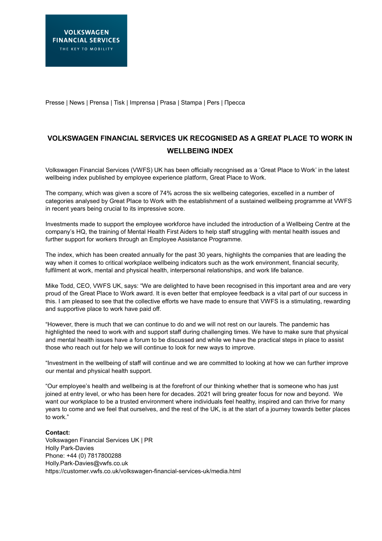Presse | News | Prensa | Tisk | Imprensa | Prasa | Stampa | Pers | Пресса

## **VOLKSWAGEN FINANCIAL SERVICES UK RECOGNISED AS A GREAT PLACE TO WORK IN WELLBEING INDEX**

Volkswagen Financial Services (VWFS) UK has been officially recognised as a 'Great Place to Work' in the latest wellbeing index published by employee experience platform, Great Place to Work.

The company, which was given a score of 74% across the six wellbeing categories, excelled in a number of categories analysed by Great Place to Work with the establishment of a sustained wellbeing programme at VWFS in recent years being crucial to its impressive score.

Investments made to support the employee workforce have included the introduction of a Wellbeing Centre at the company's HQ, the training of Mental Health First Aiders to help staff struggling with mental health issues and further support for workers through an Employee Assistance Programme.

The index, which has been created annually for the past 30 years, highlights the companies that are leading the way when it comes to critical workplace wellbeing indicators such as the work environment, financial security, fulfilment at work, mental and physical health, interpersonal relationships, and work life balance.

Mike Todd, CEO, VWFS UK, says: "We are delighted to have been recognised in this important area and are very proud of the Great Place to Work award. It is even better that employee feedback is a vital part of our success in this. I am pleased to see that the collective efforts we have made to ensure that VWFS is a stimulating, rewarding and supportive place to work have paid off.

"However, there is much that we can continue to do and we will not rest on our laurels. The pandemic has highlighted the need to work with and support staff during challenging times. We have to make sure that physical and mental health issues have a forum to be discussed and while we have the practical steps in place to assist those who reach out for help we will continue to look for new ways to improve.

"Investment in the wellbeing of staff will continue and we are committed to looking at how we can further improve our mental and physical health support.

"Our employee's health and wellbeing is at the forefront of our thinking whether that is someone who has just joined at entry level, or who has been here for decades. 2021 will bring greater focus for now and beyond. We want our workplace to be a trusted environment where individuals feel healthy, inspired and can thrive for many years to come and we feel that ourselves, and the rest of the UK, is at the start of a journey towards better places to work."

## **Contact:**

Volkswagen Financial Services UK | PR Holly Park-Davies Phone: +44 (0) 7817800288 Holly.Park-Davies@vwfs.co.uk <https://customer.vwfs.co.uk/volkswagen-financial-services-uk/media.html>